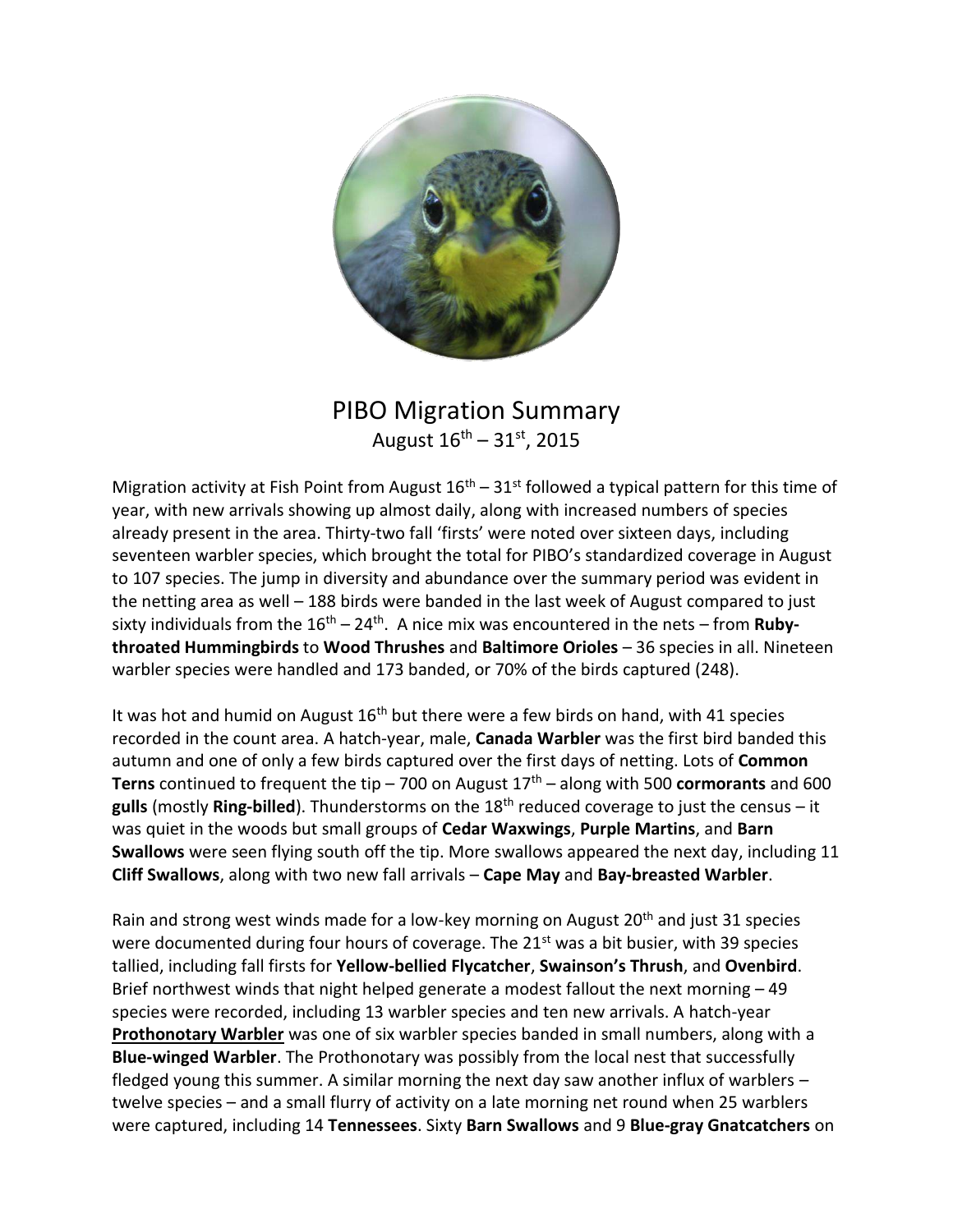

## PIBO Migration Summary August  $16^{th} - 31^{st}$ , 2015

Migration activity at Fish Point from August  $16<sup>th</sup> - 31<sup>st</sup>$  followed a typical pattern for this time of year, with new arrivals showing up almost daily, along with increased numbers of species already present in the area. Thirty-two fall 'firsts' were noted over sixteen days, including seventeen warbler species, which brought the total for PIBO's standardized coverage in August to 107 species. The jump in diversity and abundance over the summary period was evident in the netting area as well – 188 birds were banded in the last week of August compared to just sixty individuals from the 16<sup>th</sup> – 24<sup>th</sup>. A nice mix was encountered in the nets – from **Rubythroated Hummingbirds** to **Wood Thrushes** and **Baltimore Orioles** – 36 species in all. Nineteen warbler species were handled and 173 banded, or 70% of the birds captured (248).

It was hot and humid on August  $16<sup>th</sup>$  but there were a few birds on hand, with 41 species recorded in the count area. A hatch-year, male, **Canada Warbler** was the first bird banded this autumn and one of only a few birds captured over the first days of netting. Lots of **Common Terns** continued to frequent the tip – 700 on August  $17<sup>th</sup>$  – along with 500 **cormorants** and 600 **gulls** (mostly **Ring-billed**). Thunderstorms on the 18<sup>th</sup> reduced coverage to just the census – it was quiet in the woods but small groups of **Cedar Waxwings**, **Purple Martins**, and **Barn Swallows** were seen flying south off the tip. More swallows appeared the next day, including 11 **Cliff Swallows**, along with two new fall arrivals – **Cape May** and **Bay-breasted Warbler**.

Rain and strong west winds made for a low-key morning on August 20<sup>th</sup> and just 31 species were documented during four hours of coverage. The 21<sup>st</sup> was a bit busier, with 39 species tallied, including fall firsts for **Yellow-bellied Flycatcher**, **Swainson's Thrush**, and **Ovenbird**. Brief northwest winds that night helped generate a modest fallout the next morning – 49 species were recorded, including 13 warbler species and ten new arrivals. A hatch-year **Prothonotary Warbler** was one of six warbler species banded in small numbers, along with a **Blue-winged Warbler**. The Prothonotary was possibly from the local nest that successfully fledged young this summer. A similar morning the next day saw another influx of warblers – twelve species – and a small flurry of activity on a late morning net round when 25 warblers were captured, including 14 **Tennessees**. Sixty **Barn Swallows** and 9 **Blue-gray Gnatcatchers** on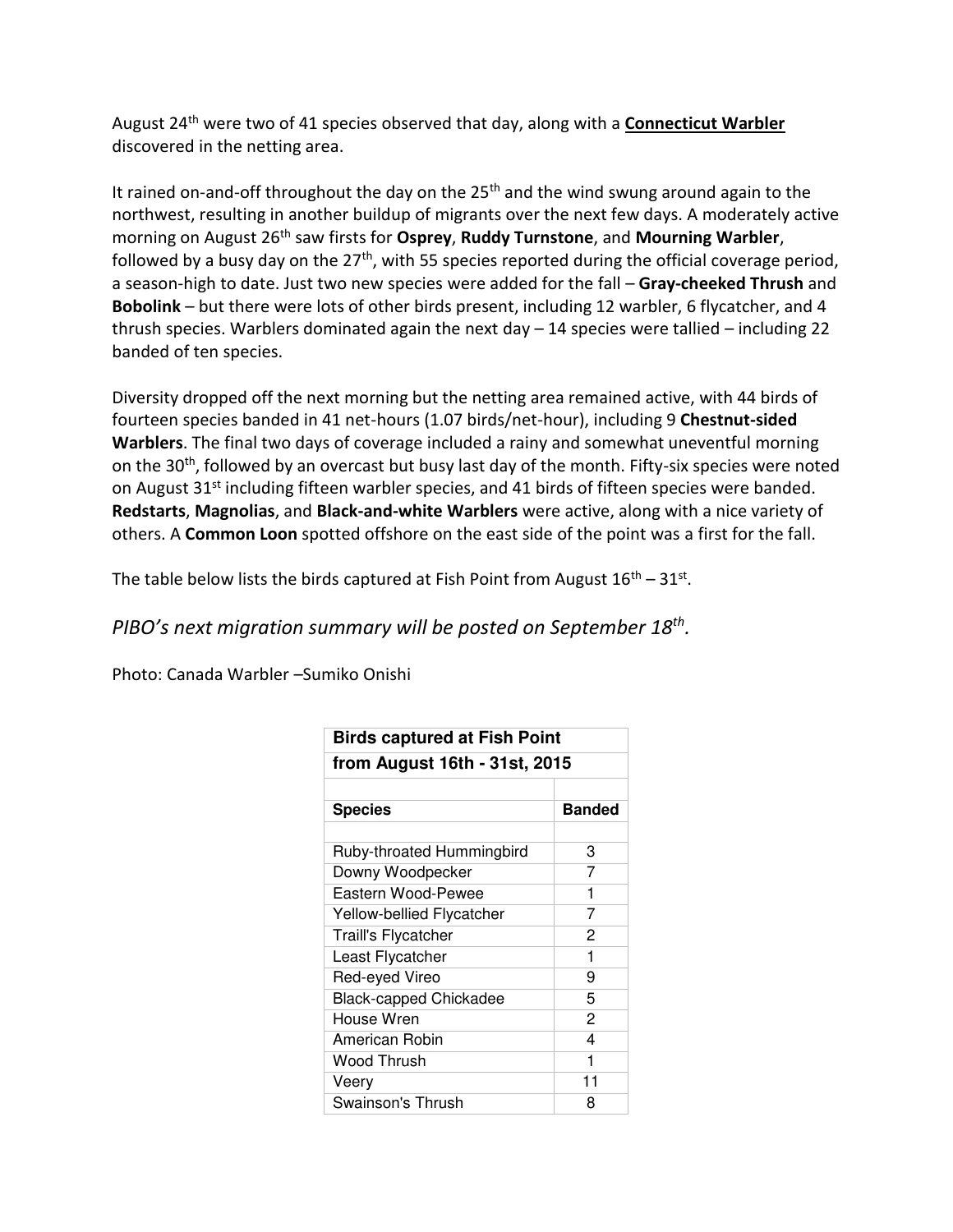August 24th were two of 41 species observed that day, along with a **Connecticut Warbler** discovered in the netting area.

It rained on-and-off throughout the day on the  $25<sup>th</sup>$  and the wind swung around again to the northwest, resulting in another buildup of migrants over the next few days. A moderately active morning on August 26th saw firsts for **Osprey**, **Ruddy Turnstone**, and **Mourning Warbler**, followed by a busy day on the  $27<sup>th</sup>$ , with 55 species reported during the official coverage period, a season-high to date. Just two new species were added for the fall – **Gray-cheeked Thrush** and **Bobolink** – but there were lots of other birds present, including 12 warbler, 6 flycatcher, and 4 thrush species. Warblers dominated again the next day  $-14$  species were tallied  $-$  including 22 banded of ten species.

Diversity dropped off the next morning but the netting area remained active, with 44 birds of fourteen species banded in 41 net-hours (1.07 birds/net-hour), including 9 **Chestnut-sided Warblers**. The final two days of coverage included a rainy and somewhat uneventful morning on the 30<sup>th</sup>, followed by an overcast but busy last day of the month. Fifty-six species were noted on August 31<sup>st</sup> including fifteen warbler species, and 41 birds of fifteen species were banded. **Redstarts**, **Magnolias**, and **Black-and-white Warblers** were active, along with a nice variety of others. A **Common Loon** spotted offshore on the east side of the point was a first for the fall.

The table below lists the birds captured at Fish Point from August  $16^{th} - 31^{st}$ .

## *PIBO's next migration summary will be posted on September 18th .*

Photo: Canada Warbler –Sumiko Onishi

| <b>Birds captured at Fish Point</b><br>from August 16th - 31st, 2015 |    |
|----------------------------------------------------------------------|----|
|                                                                      |    |
|                                                                      |    |
| Ruby-throated Hummingbird                                            | 3  |
| Downy Woodpecker                                                     | 7  |
| Eastern Wood-Pewee                                                   | 1  |
| Yellow-bellied Flycatcher                                            | 7  |
| <b>Traill's Flycatcher</b>                                           | 2  |
| Least Flycatcher                                                     | 1  |
| Red-eyed Vireo                                                       | 9  |
| <b>Black-capped Chickadee</b>                                        | 5  |
| House Wren                                                           | 2  |
| American Robin                                                       | 4  |
| Wood Thrush                                                          | 1  |
| Veery                                                                | 11 |
| Swainson's Thrush                                                    | 8  |